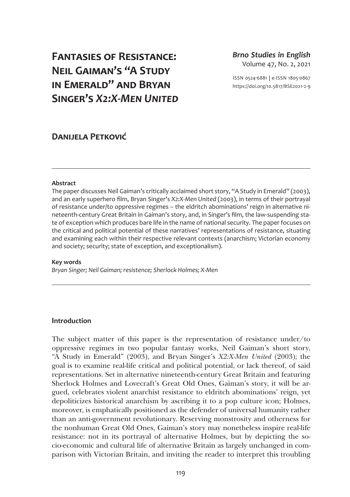# **Fantasies of Resistance: Neil Gaiman's "A Study in Emerald" and Bryan Singer's** *X2:X-Men United*

### *Brno Studies in English* Volume 47, No. 2, 2021

ISSN 0524-6881 **|** e-ISSN 1805-0867 <https://doi.org/10.5817/BSE2021-2-9>

## **Danijela Petković**

### **Abstract**

The paper discusses Neil Gaiman's critically acclaimed short story, "A Study in Emerald" (2003), and an early superhero film, Bryan Singer's *X2:X-Men United* (2003), in terms of their portrayal of resistance under/to oppressive regimes – the eldritch abominations' reign in alternative nineteenth-century Great Britain in Gaiman's story, and, in Singer's film, the law-suspending state of exception which produces bare life in the name of national security. The paper focuses on the critical and political potential of these narratives' representations of resistance, situating and examining each within their respective relevant contexts (anarchism; Victorian economy and society; security; state of exception, and exceptionalism).

### **Key words**

*Bryan Singer; Neil Gaiman; resistence; Sherlock Holmes; X-Men*

### **Introduction**

The subject matter of this paper is the representation of resistance under/to oppressive regimes in two popular fantasy works, Neil Gaiman's short story, "A Study in Emerald" (2003), and Bryan Singer's *X2:X-Men United* (2003); the goal is to examine real-life critical and political potential, or lack thereof, of said representations. Set in alternative nineteenth-century Great Britain and featuring Sherlock Holmes and Lovecraft's Great Old Ones, Gaiman's story, it will be argued, celebrates violent anarchist resistance to eldritch abominations' reign, yet depoliticizes historical anarchism by ascribing it to a pop culture icon; Holmes, moreover, is emphatically positioned as the defender of universal humanity rather than an anti-government revolutionary. Reserving monstrosity and otherness for the nonhuman Great Old Ones, Gaiman's story may nonetheless inspire real-life resistance: not in its portrayal of alternative Holmes, but by depicting the socio-economic and cultural life of alternative Britain as largely unchanged in comparison with Victorian Britain, and inviting the reader to interpret this troubling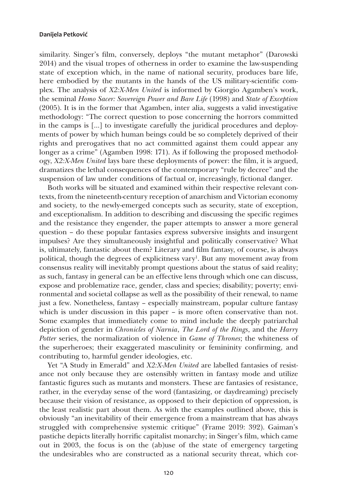similarity. Singer's film, conversely, deploys "the mutant metaphor" (Darowski 2014) and the visual tropes of otherness in order to examine the law-suspending state of exception which, in the name of national security, produces bare life, here embodied by the mutants in the hands of the US military-scientific complex. The analysis of *X2:X-Men United* is informed by Giorgio Agamben's work, the seminal *Homo Sacer: Sovereign Power and Bare Life* (1998) and *State of Exception* (2005). It is in the former that Agamben, inter alia, suggests a valid investigative methodology: "The correct question to pose concerning the horrors committed in the camps is [...] to investigate carefully the juridical procedures and deployments of power by which human beings could be so completely deprived of their rights and prerogatives that no act committed against them could appear any longer as a crime" (Agamben 1998: 171). As if following the proposed methodology, *X2:X-Men United* lays bare these deployments of power: the film, it is argued, dramatizes the lethal consequences of the contemporary "rule by decree" and the suspension of law under conditions of factual or, increasingly, fictional danger.

Both works will be situated and examined within their respective relevant contexts, from the nineteenth-century reception of anarchism and Victorian economy and society, to the newly-emerged concepts such as security, state of exception, and exceptionalism. In addition to describing and discussing the specific regimes and the resistance they engender, the paper attempts to answer a more general question – do these popular fantasies express subversive insights and insurgent impulses? Are they simultaneously insightful and politically conservative? What is, ultimately, fantastic about them? Literary and film fantasy, of course, is always political, though the degrees of explicitness vary<sup>1</sup>. But any movement away from consensus reality will inevitably prompt questions about the status of said reality; as such, fantasy in general can be an effective lens through which one can discuss, expose and problematize race, gender, class and species; disability; poverty; environmental and societal collapse as well as the possibility of their renewal, to name just a few. Nonetheless, fantasy – especially mainstream, popular culture fantasy which is under discussion in this paper – is more often conservative than not. Some examples that immediately come to mind include the deeply patriarchal depiction of gender in *Chronicles of Narnia*, *The Lord of the Rings*, and the *Harry Potter* series, the normalization of violence in *Game of Thrones*; the whiteness of the superheroes; their exaggerated masculinity or femininity confirming, and contributing to, harmful gender ideologies, etc.

Yet "A Study in Emerald" and *X2:X-Men United* are labelled fantasies of resistance not only because they are ostensibly written in fantasy mode and utilize fantastic figures such as mutants and monsters. These are fantasies of resistance, rather, in the everyday sense of the word (fantasizing, or daydreaming) precisely because their vision of resistance, as opposed to their depiction of oppression, is the least realistic part about them. As with the examples outlined above, this is obviously "an inevitability of their emergence from a mainstream that has always struggled with comprehensive systemic critique" (Frame 2019: 392). Gaiman's pastiche depicts literally horrific capitalist monarchy; in Singer's film, which came out in 2003, the focus is on the (ab)use of the state of emergency targeting the undesirables who are constructed as a national security threat, which cor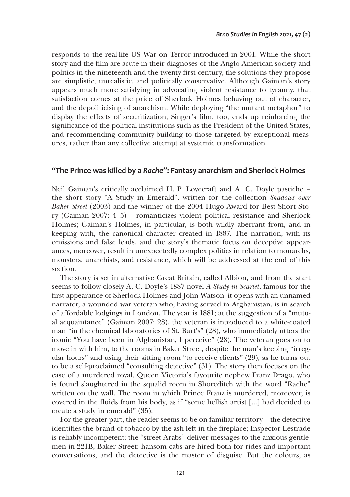responds to the real-life US War on Terror introduced in 2001. While the short story and the film are acute in their diagnoses of the Anglo-American society and politics in the nineteenth and the twenty-first century, the solutions they propose are simplistic, unrealistic, and politically conservative. Although Gaiman's story appears much more satisfying in advocating violent resistance to tyranny, that satisfaction comes at the price of Sherlock Holmes behaving out of character, and the depoliticising of anarchism. While deploying "the mutant metaphor" to display the effects of securitization, Singer's film, too, ends up reinforcing the significance of the political institutions such as the President of the United States, and recommending community-building to those targeted by exceptional measures, rather than any collective attempt at systemic transformation.

### **"The Prince was killed by a** *Rache***": Fantasy anarchism and Sherlock Holmes**

Neil Gaiman's critically acclaimed H. P. Lovecraft and A. C. Doyle pastiche – the short story "A Study in Emerald", written for the collection *Shadows over Baker Street* (2003) and the winner of the 2004 Hugo Award for Best Short Story (Gaiman 2007: 4–5) – romanticizes violent political resistance and Sherlock Holmes; Gaiman's Holmes, in particular, is both wildly aberrant from, and in keeping with, the canonical character created in 1887. The narration, with its omissions and false leads, and the story's thematic focus on deceptive appearances, moreover, result in unexpectedly complex politics in relation to monarchs, monsters, anarchists, and resistance, which will be addressed at the end of this section.

The story is set in alternative Great Britain, called Albion, and from the start seems to follow closely A. C. Doyle's 1887 novel *A Study in Scarlet*, famous for the first appearance of Sherlock Holmes and John Watson: it opens with an unnamed narrator, a wounded war veteran who, having served in Afghanistan, is in search of affordable lodgings in London. The year is 1881; at the suggestion of a "mutual acquaintance" (Gaiman 2007: 28), the veteran is introduced to a white-coated man "in the chemical laboratories of St. Bart's" (28), who immediately utters the iconic "You have been in Afghanistan, I perceive" (28). The veteran goes on to move in with him, to the rooms in Baker Street, despite the man's keeping "irregular hours" and using their sitting room "to receive clients" (29), as he turns out to be a self-proclaimed "consulting detective" (31). The story then focuses on the case of a murdered royal, Queen Victoria's favourite nephew Franz Drago, who is found slaughtered in the squalid room in Shoreditch with the word "Rache" written on the wall. The room in which Prince Franz is murdered, moreover, is covered in the fluids from his body, as if "some hellish artist […] had decided to create a study in emerald" (35).

For the greater part, the reader seems to be on familiar territory – the detective identifies the brand of tobacco by the ash left in the fireplace; Inspector Lestrade is reliably incompetent; the "street Arabs" deliver messages to the anxious gentlemen in 221B, Baker Street: hansom cabs are hired both for rides and important conversations, and the detective is the master of disguise. But the colours, as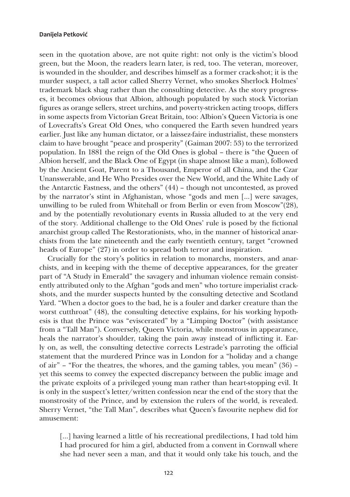seen in the quotation above, are not quite right: not only is the victim's blood green, but the Moon, the readers learn later, is red, too. The veteran, moreover, is wounded in the shoulder, and describes himself as a former crack-shot; it is the murder suspect, a tall actor called Sherry Vernet, who smokes Sherlock Holmes' trademark black shag rather than the consulting detective. As the story progresses, it becomes obvious that Albion, although populated by such stock Victorian figures as orange sellers, street urchins, and poverty-stricken acting troops, differs in some aspects from Victorian Great Britain, too: Albion's Queen Victoria is one of Lovecrafts's Great Old Ones, who conquered the Earth seven hundred years earlier. Just like any human dictator, or a laissez-faire industrialist, these monsters claim to have brought "peace and prosperity" (Gaiman 2007: 53) to the terrorized population. In 1881 the reign of the Old Ones is global – there is "the Queen of Albion herself, and the Black One of Egypt (in shape almost like a man), followed by the Ancient Goat, Parent to a Thousand, Emperor of all China, and the Czar Unanswerable, and He Who Presides over the New World, and the White Lady of the Antarctic Fastness, and the others" (44) – though not uncontested, as proved by the narrator's stint in Afghanistan, whose "gods and men […] were savages, unwilling to be ruled from Whitehall or from Berlin or even from Moscow"(28), and by the potentially revolutionary events in Russia alluded to at the very end of the story. Additional challenge to the Old Ones' rule is posed by the fictional anarchist group called The Restorationists, who, in the manner of historical anarchists from the late nineteenth and the early twentieth century, target "crowned heads of Europe" (27) in order to spread both terror and inspiration.

Crucially for the story's politics in relation to monarchs, monsters, and anarchists, and in keeping with the theme of deceptive appearances, for the greater part of "A Study in Emerald" the savagery and inhuman violence remain consistently attributed only to the Afghan "gods and men" who torture imperialist crackshots, and the murder suspects hunted by the consulting detective and Scotland Yard. "When a doctor goes to the bad, he is a fouler and darker creature than the worst cutthroat" (48), the consulting detective explains, for his working hypothesis is that the Prince was "eviscerated" by a "Limping Doctor" (with assistance from a "Tall Man"). Conversely, Queen Victoria, while monstrous in appearance, heals the narrator's shoulder, taking the pain away instead of inflicting it. Early on, as well, the consulting detective corrects Lestrade's parroting the official statement that the murdered Prince was in London for a "holiday and a change of air" – "For the theatres, the whores, and the gaming tables, you mean" (36) – yet this seems to convey the expected discrepancy between the public image and the private exploits of a privileged young man rather than heart-stopping evil. It is only in the suspect's letter/written confession near the end of the story that the monstrosity of the Prince, and by extension the rulers of the world, is revealed. Sherry Vernet, "the Tall Man", describes what Queen's favourite nephew did for amusement:

[...] having learned a little of his recreational predilections, I had told him I had procured for him a girl, abducted from a convent in Cornwall where she had never seen a man, and that it would only take his touch, and the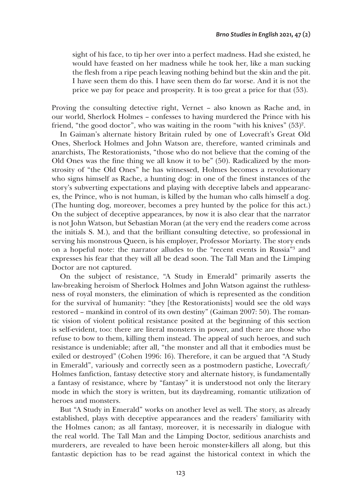sight of his face, to tip her over into a perfect madness. Had she existed, he would have feasted on her madness while he took her, like a man sucking the flesh from a ripe peach leaving nothing behind but the skin and the pit. I have seen them do this. I have seen them do far worse. And it is not the price we pay for peace and prosperity. It is too great a price for that (53).

Proving the consulting detective right, Vernet – also known as Rache and, in our world, Sherlock Holmes – confesses to having murdered the Prince with his friend, "the good doctor", who was waiting in the room "with his knives" (53)<sup>2</sup>.

In Gaiman's alternate history Britain ruled by one of Lovecraft's Great Old Ones, Sherlock Holmes and John Watson are, therefore, wanted criminals and anarchists, The Restorationists, "those who do not believe that the coming of the Old Ones was the fine thing we all know it to be" (50). Radicalized by the monstrosity of "the Old Ones" he has witnessed, Holmes becomes a revolutionary who signs himself as Rache, a hunting dog: in one of the finest instances of the story's subverting expectations and playing with deceptive labels and appearances, the Prince, who is not human, is killed by the human who calls himself a dog. (The hunting dog, moreover, becomes a prey hunted by the police for this act.) On the subject of deceptive appearances, by now it is also clear that the narrator is not John Watson, but Sebastian Moran (at the very end the readers come across the initials S. M.), and that the brilliant consulting detective, so professional in serving his monstrous Queen, is his employer, Professor Moriarty. The story ends on a hopeful note: the narrator alludes to the "recent events in Russia"3 and expresses his fear that they will all be dead soon. The Tall Man and the Limping Doctor are not captured.

On the subject of resistance, "A Study in Emerald" primarily asserts the law-breaking heroism of Sherlock Holmes and John Watson against the ruthlessness of royal monsters, the elimination of which is represented as the condition for the survival of humanity: "they [the Restorationists] would see the old ways restored – mankind in control of its own destiny" (Gaiman 2007: 50). The romantic vision of violent political resistance posited at the beginning of this section is self-evident, too: there are literal monsters in power, and there are those who refuse to bow to them, killing them instead. The appeal of such heroes, and such resistance is undeniable; after all, "the monster and all that it embodies must be exiled or destroyed" (Cohen 1996: 16). Therefore, it can be argued that "A Study in Emerald", variously and correctly seen as a postmodern pastiche, Lovecraft/ Holmes fanfiction, fantasy detective story and alternate history, is fundamentally a fantasy of resistance, where by "fantasy" it is understood not only the literary mode in which the story is written, but its daydreaming, romantic utilization of heroes and monsters.

But "A Study in Emerald" works on another level as well. The story, as already established, plays with deceptive appearances and the readers' familiarity with the Holmes canon; as all fantasy, moreover, it is necessarily in dialogue with the real world. The Tall Man and the Limping Doctor, seditious anarchists and murderers, are revealed to have been heroic monster-killers all along, but this fantastic depiction has to be read against the historical context in which the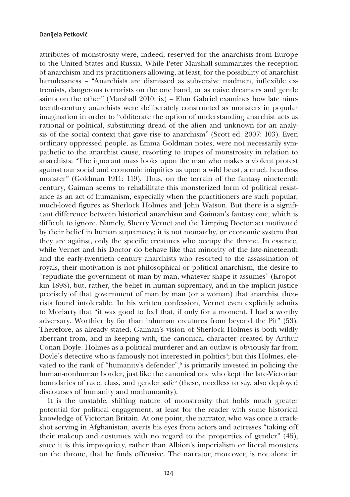attributes of monstrosity were, indeed, reserved for the anarchists from Europe to the United States and Russia. While Peter Marshall summarizes the reception of anarchism and its practitioners allowing, at least, for the possibility of anarchist harmlessness – "Anarchists are dismissed as subversive madmen, inflexible extremists, dangerous terrorists on the one hand, or as naive dreamers and gentle saints on the other" (Marshall 2010: ix) – Elun Gabriel examines how late nineteenth-century anarchists were deliberately constructed as monsters in popular imagination in order to "obliterate the option of understanding anarchist acts as rational or political, substituting dread of the alien and unknown for an analysis of the social context that gave rise to anarchism" (Scott ed. 2007: 103). Even ordinary oppressed people, as Emma Goldman notes, were not necessarily sympathetic to the anarchist cause, resorting to tropes of monstrosity in relation to anarchists: "The ignorant mass looks upon the man who makes a violent protest against our social and economic iniquities as upon a wild beast, a cruel, heartless monster" (Goldman 1911: 119). Thus, on the terrain of the fantasy nineteenth century, Gaiman seems to rehabilitate this monsterized form of political resistance as an act of humanism, especially when the practitioners are such popular, much-loved figures as Sherlock Holmes and John Watson. But there is a significant difference between historical anarchism and Gaiman's fantasy one, which is difficult to ignore. Namely, Sherry Vernet and the Limping Doctor act motivated by their belief in human supremacy; it is not monarchy, or economic system that they are against, only the specific creatures who occupy the throne. In essence, while Vernet and his Doctor do behave like that minority of the late-nineteenth and the early-twentieth century anarchists who resorted to the assassination of royals, their motivation is not philosophical or political anarchism, the desire to "repudiate the government of man by man, whatever shape it assumes" (Kropotkin 1898), but, rather, the belief in human supremacy, and in the implicit justice precisely of that government of man by man (or a woman) that anarchist theorists found intolerable. In his written confession, Vernet even explicitly admits to Moriarty that "it was good to feel that, if only for a moment, I had a worthy adversary. Worthier by far than inhuman creatures from beyond the Pit" (53). Therefore, as already stated, Gaiman's vision of Sherlock Holmes is both wildly aberrant from, and in keeping with, the canonical character created by Arthur Conan Doyle. Holmes as a political murderer and an outlaw is obviously far from Doyle's detective who is famously not interested in politics<sup>4</sup>; but this Holmes, elevated to the rank of "humanity's defender",<sup>5</sup> is primarily invested in policing the human-nonhuman border, just like the canonical one who kept the late-Victorian boundaries of race, class, and gender safe<sup>6</sup> (these, needless to say, also deployed discourses of humanity and nonhumanity).

It is the unstable, shifting nature of monstrosity that holds much greater potential for political engagement, at least for the reader with some historical knowledge of Victorian Britain. At one point, the narrator, who was once a crackshot serving in Afghanistan, averts his eyes from actors and actresses "taking off their makeup and costumes with no regard to the properties of gender" (45), since it is this impropriety, rather than Albion's imperialism or literal monsters on the throne, that he finds offensive. The narrator, moreover, is not alone in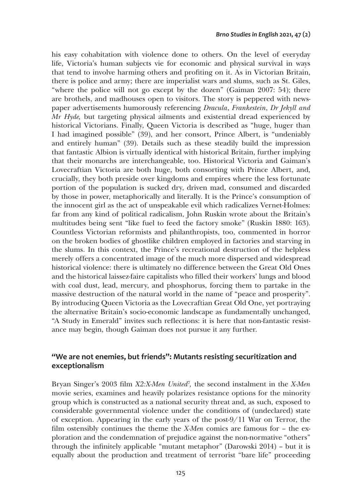his easy cohabitation with violence done to others. On the level of everyday life, Victoria's human subjects vie for economic and physical survival in ways that tend to involve harming others and profiting on it. As in Victorian Britain, there is police and army; there are imperialist wars and slums, such as St. Giles, "where the police will not go except by the dozen" (Gaiman 2007: 54); there are brothels, and madhouses open to visitors. The story is peppered with newspaper advertisements humorously referencing *Dracula*, *Frankestein*, *Dr Jekyll and Mr Hyde,* but targeting physical ailments and existential dread experienced by historical Victorians. Finally, Queen Victoria is described as "huge, huger than I had imagined possible" (39), and her consort, Prince Albert, is "undeniably and entirely human" (39). Details such as these steadily build the impression that fantastic Albion is virtually identical with historical Britain, further implying that their monarchs are interchangeable, too. Historical Victoria and Gaiman's Lovecraftian Victoria are both huge, both consorting with Prince Albert, and, crucially, they both preside over kingdoms and empires where the less fortunate portion of the population is sucked dry, driven mad, consumed and discarded by those in power, metaphorically and literally. It is the Prince's consumption of the innocent girl as the act of unspeakable evil which radicalizes Vernet-Holmes: far from any kind of political radicalism, John Ruskin wrote about the Britain's multitudes being sent "like fuel to feed the factory smoke" (Ruskin 1880: 163). Countless Victorian reformists and philanthropists, too, commented in horror on the broken bodies of ghostlike children employed in factories and starving in the slums. In this context, the Prince's recreational destruction of the helpless merely offers a concentrated image of the much more dispersed and widespread historical violence: there is ultimately no difference between the Great Old Ones and the historical laissez-faire capitalists who filled their workers' lungs and blood with coal dust, lead, mercury, and phosphorus, forcing them to partake in the massive destruction of the natural world in the name of "peace and prosperity". By introducing Queen Victoria as the Lovecraftian Great Old One, yet portraying the alternative Britain's socio-economic landscape as fundamentally unchanged, "A Study in Emerald" invites such reflections: it is here that non-fantastic resistance may begin, though Gaiman does not pursue it any further.

### **"We are not enemies, but friends": Mutants resisting securitization and exceptionalism**

Bryan Singer's 2003 film *X2:X-Men United*<sup>7</sup> *,* the second instalment in the *X-Men* movie series, examines and heavily polarizes resistance options for the minority group which is constructed as a national security threat and, as such, exposed to considerable governmental violence under the conditions of (undeclared) state of exception. Appearing in the early years of the post-9/11 War on Terror, the film ostensibly continues the theme the *X-Men* comics are famous for – the exploration and the condemnation of prejudice against the non-normative "others" through the infinitely applicable "mutant metaphor" (Darowski 2014) – but it is equally about the production and treatment of terrorist "bare life" proceeding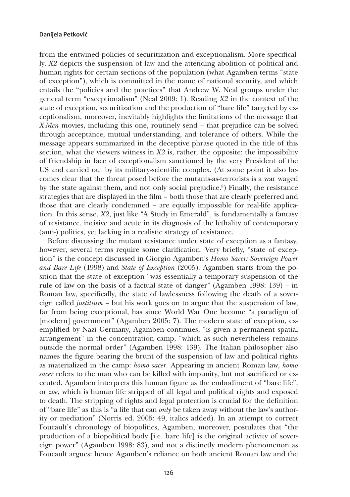from the entwined policies of securitization and exceptionalism. More specifically, *X2* depicts the suspension of law and the attending abolition of political and human rights for certain sections of the population (what Agamben terms "state of exception"), which is committed in the name of national security, and which entails the "policies and the practices" that Andrew W. Neal groups under the general term "exceptionalism" (Neal 2009: 1). Reading *X2* in the context of the state of exception, securitization and the production of "bare life" targeted by exceptionalism, moreover, inevitably highlights the limitations of the message that *X-Men* movies, including this one, routinely send – that prejudice can be solved through acceptance, mutual understanding, and tolerance of others. While the message appears summarized in the deceptive phrase quoted in the title of this section, what the viewers witness in *X2* is, rather, the opposite: the impossibility of friendship in face of exceptionalism sanctioned by the very President of the US and carried out by its military-scientific complex. (At some point it also becomes clear that the threat posed before the mutants-as-terrorists is a war waged by the state against them, and not only social prejudice.<sup>8</sup>) Finally, the resistance strategies that are displayed in the film – both those that are clearly preferred and those that are clearly condemned – are equally impossible for real-life application. In this sense, *X2*, just like "A Study in Emerald", is fundamentally a fantasy of resistance, incisive and acute in its diagnosis of the lethality of contemporary (anti-) politics, yet lacking in a realistic strategy of resistance.

Before discussing the mutant resistance under state of exception as a fantasy, however, several terms require some clarification. Very briefly, "state of exception" is the concept discussed in Giorgio Agamben's *Homo Sacer: Sovereign Power and Bare Life* (1998) and *State of Exception* (2005). Agamben starts from the position that the state of exception "was essentially a temporary suspension of the rule of law on the basis of a factual state of danger" (Agamben 1998: 139) – in Roman law, specifically, the state of lawlessness following the death of a sovereign called *justitium* – but his work goes on to argue that the suspension of law, far from being exceptional, has since World War One become "a paradigm of [modern] government" (Agamben 2005: 7). The modern state of exception, exemplified by Nazi Germany, Agamben continues, "is given a permanent spatial arrangement" in the concentration camp, "which as such nevertheless remains outside the normal order" (Agamben 1998: 139). The Italian philosopher also names the figure bearing the brunt of the suspension of law and political rights as materialized in the camp: *homo sacer*. Appearing in ancient Roman law, *homo sacer* refers to the man who can be killed with impunity, but not sacrificed or executed. Agamben interprets this human figure as the embodiment of "bare life", or *zoe*, which is human life stripped of all legal and political rights and exposed to death. The stripping of rights and legal protection is crucial for the definition of "bare life" as this is "a life that can *only* be taken away without the law's authority or mediation" (Norris ed. 2005: 49, italics added). In an attempt to correct Foucault's chronology of biopolitics, Agamben, moreover, postulates that "the production of a biopolitical body [i.e. bare life] is the original activity of sovereign power" (Agamben 1998: 83), and not a distinctly modern phenomenon as Foucault argues: hence Agamben's reliance on both ancient Roman law and the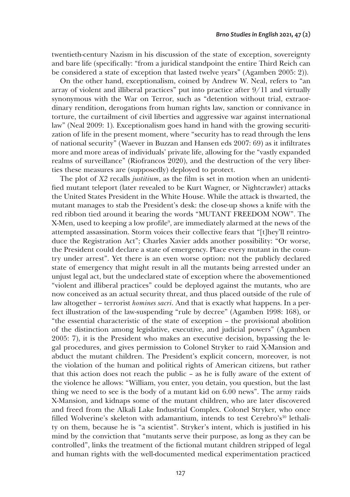twentieth-century Nazism in his discussion of the state of exception, sovereignty and bare life (specifically: "from a juridical standpoint the entire Third Reich can be considered a state of exception that lasted twelve years" (Agamben 2005: 2)).

On the other hand, exceptionalism, coined by Andrew W. Neal, refers to "an array of violent and illiberal practices" put into practice after 9/11 and virtually synonymous with the War on Terror, such as "detention without trial, extraordinary rendition, derogations from human rights law, sanction or connivance in torture, the curtailment of civil liberties and aggressive war against international law" (Neal 2009: 1). Exceptionalism goes hand in hand with the growing securitization of life in the present moment, where "security has to read through the lens of national security" (Waever in Buzzan and Hansen eds 2007: 69) as it infiltrates more and more areas of individuals' private life, allowing for the "vastly expanded realms of surveillance" (Riofrancos 2020), and the destruction of the very liberties these measures are (supposedly) deployed to protect.

The plot of *X2* recalls *justitium*, as the film is set in motion when an unidentified mutant teleport (later revealed to be Kurt Wagner, or Nightcrawler) attacks the United States President in the White House. While the attack is thwarted, the mutant manages to stab the President's desk: the close-up shows a knife with the red ribbon tied around it bearing the words "MUTANT FREEDOM NOW". The X-Men, used to keeping a low profile9 , are immediately alarmed at the news of the attempted assassination. Storm voices their collective fears that "[t]hey'll reintroduce the Registration Act"; Charles Xavier adds another possibility: "Or worse, the President could declare a state of emergency. Place every mutant in the country under arrest". Yet there is an even worse option: not the publicly declared state of emergency that might result in all the mutants being arrested under an unjust legal act, but the undeclared state of exception where the abovementioned "violent and illiberal practices" could be deployed against the mutants, who are now conceived as an actual security threat, and thus placed outside of the rule of law altogether – terrorist *homines sacri*. And that is exactly what happens. In a perfect illustration of the law-suspending "rule by decree" (Agamben 1998: 168), or "the essential characteristic of the state of exception – the provisional abolition of the distinction among legislative, executive, and judicial powers" (Agamben 2005: 7), it is the President who makes an executive decision, bypassing the legal procedures, and gives permission to Colonel Stryker to raid X-Mansion and abduct the mutant children. The President's explicit concern, moreover, is not the violation of the human and political rights of American citizens, but rather that this action does not reach the public – as he is fully aware of the extent of the violence he allows: "William, you enter, you detain, you question, but the last thing we need to see is the body of a mutant kid on 6.00 news". The army raids X-Mansion, and kidnaps some of the mutant children, who are later discovered and freed from the Alkali Lake Industrial Complex. Colonel Stryker, who once filled Wolverine's skeleton with adamantium, intends to test Cerebro's<sup>10</sup> lethality on them, because he is "a scientist". Stryker's intent, which is justified in his mind by the conviction that "mutants serve their purpose, as long as they can be controlled", links the treatment of the fictional mutant children stripped of legal and human rights with the well-documented medical experimentation practiced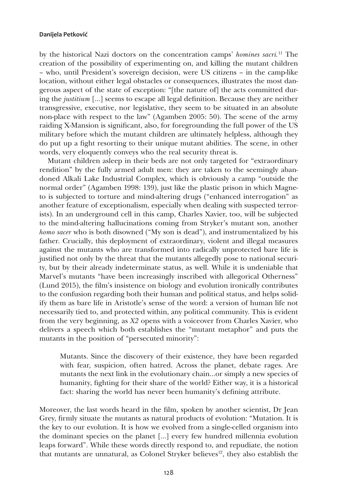by the historical Nazi doctors on the concentration camps' *homines sacri.*11 The creation of the possibility of experimenting on, and killing the mutant children – who, until President's sovereign decision, were US citizens – in the camp-like location, without either legal obstacles or consequences, illustrates the most dangerous aspect of the state of exception: "[the nature of] the acts committed during the *justitium* […] seems to escape all legal definition. Because they are neither transgressive, executive, nor legislative, they seem to be situated in an absolute non-place with respect to the law" (Agamben 2005: 50). The scene of the army raiding X-Mansion is significant, also, for foregrounding the full power of the US military before which the mutant children are ultimately helpless, although they do put up a fight resorting to their unique mutant abilities. The scene, in other words, very eloquently conveys who the real security threat is.

Mutant children asleep in their beds are not only targeted for "extraordinary rendition" by the fully armed adult men: they are taken to the seemingly abandoned Alkali Lake Industrial Complex, which is obviously a camp "outside the normal order" (Agamben 1998: 139), just like the plastic prison in which Magneto is subjected to torture and mind-altering drugs ("enhanced interrogation" as another feature of exceptionalism, especially when dealing with suspected terrorists). In an underground cell in this camp, Charles Xavier, too, will be subjected to the mind-altering hallucinations coming from Stryker's mutant son, another *homo sacer* who is both disowned ("My son is dead"), and instrumentalized by his father. Crucially, this deployment of extraordinary, violent and illegal measures against the mutants who are transformed into radically unprotected bare life is justified not only by the threat that the mutants allegedly pose to national security, but by their already indeterminate status, as well. While it is undeniable that Marvel's mutants "have been increasingly inscribed with allegorical Otherness" (Lund 2015), the film's insistence on biology and evolution ironically contributes to the confusion regarding both their human and political status, and helps solidify them as bare life in Aristotle's sense of the word: a version of human life not necessarily tied to, and protected within, any political community. This is evident from the very beginning, as *X2* opens with a voiceover from Charles Xavier, who delivers a speech which both establishes the "mutant metaphor" and puts the mutants in the position of "persecuted minority":

Mutants. Since the discovery of their existence, they have been regarded with fear, suspicion, often hatred. Across the planet, debate rages. Are mutants the next link in the evolutionary chain...or simply a new species of humanity, fighting for their share of the world? Either way, it is a historical fact: sharing the world has never been humanity's defining attribute.

Moreover, the last words heard in the film, spoken by another scientist, Dr Jean Grey, firmly situate the mutants as natural products of evolution: "Mutation. It is the key to our evolution. It is how we evolved from a single-celled organism into the dominant species on the planet […] every few hundred millennia evolution leaps forward". While these words directly respond to, and repudiate, the notion that mutants are unnatural, as Colonel Stryker believes<sup>12</sup>, they also establish the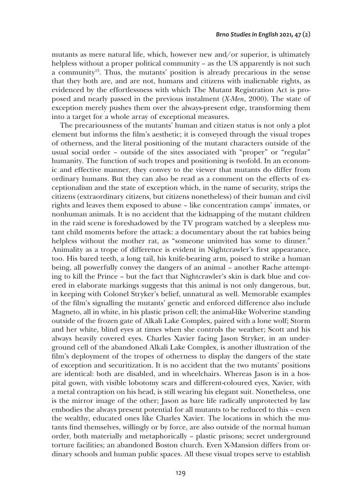mutants as mere natural life, which, however new and/or superior, is ultimately helpless without a proper political community – as the US apparently is not such a community13. Thus, the mutants' position is already precarious in the sense that they both are, and are not, humans and citizens with inalienable rights, as evidenced by the effortlessness with which The Mutant Registration Act is proposed and nearly passed in the previous instalment (*X-Men*, 2000). The state of exception merely pushes them over the always-present edge, transforming them into a target for a whole array of exceptional measures.

The precariousness of the mutants' human and citizen status is not only a plot element but informs the film's aesthetic; it is conveyed through the visual tropes of otherness, and the literal positioning of the mutant characters outside of the usual social order – outside of the sites associated with "proper" or "regular" humanity. The function of such tropes and positioning is twofold. In an economic and effective manner, they convey to the viewer that mutants do differ from ordinary humans. But they can also be read as a comment on the effects of exceptionalism and the state of exception which, in the name of security, strips the citizens (extraordinary citizens, but citizens nonetheless) of their human and civil rights and leaves them exposed to abuse – like concentration camps' inmates, or nonhuman animals. It is no accident that the kidnapping of the mutant children in the raid scene is foreshadowed by the TV program watched by a sleepless mutant child moments before the attack: a documentary about the rat babies being helpless without the mother rat, as "someone uninvited has some to dinner." Animality as a trope of difference is evident in Nightcrawler's first appearance, too. His bared teeth, a long tail, his knife-bearing arm, poised to strike a human being, all powerfully convey the dangers of an animal – another Rache attempting to kill the Prince – but the fact that Nightcrawler's skin is dark blue and covered in elaborate markings suggests that this animal is not only dangerous, but, in keeping with Colonel Stryker's belief, unnatural as well. Memorable examples of the film's signalling the mutants' genetic and enforced difference also include Magneto, all in white, in his plastic prison cell; the animal-like Wolverine standing outside of the frozen gate of Alkali Lake Complex, paired with a lone wolf; Storm and her white, blind eyes at times when she controls the weather; Scott and his always heavily covered eyes. Charles Xavier facing Jason Stryker, in an underground cell of the abandoned Alkali Lake Complex, is another illustration of the film's deployment of the tropes of otherness to display the dangers of the state of exception and securitization. It is no accident that the two mutants' positions are identical: both are disabled, and in wheelchairs. Whereas Jason is in a hospital gown, with visible lobotomy scars and different-coloured eyes, Xavier, with a metal contraption on his head, is still wearing his elegant suit. Nonetheless, one is the mirror image of the other; Jason as bare life radically unprotected by law embodies the always present potential for all mutants to be reduced to this – even the wealthy, educated ones like Charles Xavier. The locations in which the mutants find themselves, willingly or by force, are also outside of the normal human order, both materially and metaphorically – plastic prisons; secret underground torture facilities; an abandoned Boston church. Even X-Mansion differs from ordinary schools and human public spaces. All these visual tropes serve to establish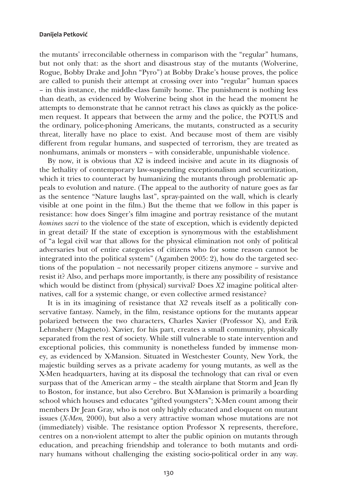the mutants' irreconcilable otherness in comparison with the "regular" humans, but not only that: as the short and disastrous stay of the mutants (Wolverine, Rogue, Bobby Drake and John "Pyro") at Bobby Drake's house proves, the police are called to punish their attempt at crossing over into "regular" human spaces – in this instance, the middle-class family home. The punishment is nothing less than death, as evidenced by Wolverine being shot in the head the moment he attempts to demonstrate that he cannot retract his claws as quickly as the policemen request. It appears that between the army and the police, the POTUS and the ordinary, police-phoning Americans, the mutants, constructed as a security threat, literally have no place to exist. And because most of them are visibly different from regular humans, and suspected of terrorism, they are treated as nonhumans, animals or monsters – with considerable, unpunishable violence.

By now, it is obvious that *X2* is indeed incisive and acute in its diagnosis of the lethality of contemporary law-suspending exceptionalism and securitization, which it tries to counteract by humanizing the mutants through problematic appeals to evolution and nature. (The appeal to the authority of nature goes as far as the sentence "Nature laughs last", spray-painted on the wall, which is clearly visible at one point in the film.) But the theme that we follow in this paper is resistance: how does Singer's film imagine and portray resistance of the mutant *homines sacri* to the violence of the state of exception, which is evidently depicted in great detail? If the state of exception is synonymous with the establishment of "a legal civil war that allows for the physical elimination not only of political adversaries but of entire categories of citizens who for some reason cannot be integrated into the political system" (Agamben 2005: 2), how do the targeted sections of the population – not necessarily proper citizens anymore – survive and resist it? Also, and perhaps more importantly, is there any possibility of resistance which would be distinct from (physical) survival? Does *X2* imagine political alternatives, call for a systemic change, or even collective armed resistance?

It is in its imagining of resistance that *X2* reveals itself as a politically conservative fantasy. Namely, in the film, resistance options for the mutants appear polarized between the two characters, Charles Xavier (Professor X), and Erik Lehnsherr (Magneto). Xavier, for his part, creates a small community, physically separated from the rest of society. While still vulnerable to state intervention and exceptional policies, this community is nonetheless funded by immense money, as evidenced by X-Mansion. Situated in Westchester County, New York, the majestic building serves as a private academy for young mutants, as well as the X-Men headquarters, having at its disposal the technology that can rival or even surpass that of the American army – the stealth airplane that Storm and Jean fly to Boston, for instance, but also Cerebro. But X-Mansion is primarily a boarding school which houses and educates "gifted youngsters"; X-Men count among their members Dr Jean Gray, who is not only highly educated and eloquent on mutant issues (*X-Men,* 2000), but also a very attractive woman whose mutations are not (immediately) visible. The resistance option Professor X represents, therefore, centres on a non-violent attempt to alter the public opinion on mutants through education, and preaching friendship and tolerance to both mutants and ordinary humans without challenging the existing socio-political order in any way.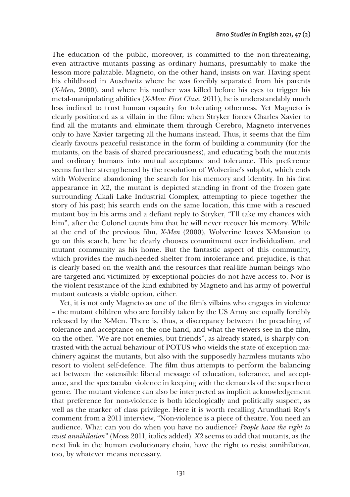The education of the public, moreover, is committed to the non-threatening, even attractive mutants passing as ordinary humans, presumably to make the lesson more palatable. Magneto, on the other hand, insists on war. Having spent his childhood in Auschwitz where he was forcibly separated from his parents (*X-Men*, 2000), and where his mother was killed before his eyes to trigger his metal-manipulating abilities (*X-Men: First Class*, 2011), he is understandably much less inclined to trust human capacity for tolerating otherness. Yet Magneto is clearly positioned as a villain in the film: when Stryker forces Charles Xavier to find all the mutants and eliminate them through Cerebro, Magneto intervenes only to have Xavier targeting all the humans instead. Thus, it seems that the film clearly favours peaceful resistance in the form of building a community (for the mutants, on the basis of shared precariousness), and educating both the mutants and ordinary humans into mutual acceptance and tolerance. This preference seems further strengthened by the resolution of Wolverine's subplot, which ends with Wolverine abandoning the search for his memory and identity. In his first appearance in *X2*, the mutant is depicted standing in front of the frozen gate surrounding Alkali Lake Industrial Complex, attempting to piece together the story of his past; his search ends on the same location, this time with a rescued mutant boy in his arms and a defiant reply to Stryker, "I'll take my chances with him", after the Colonel taunts him that he will never recover his memory. While at the end of the previous film, *X-Men* (2000), Wolverine leaves X-Mansion to go on this search, here he clearly chooses commitment over individualism, and mutant community as his home. But the fantastic aspect of this community, which provides the much-needed shelter from intolerance and prejudice, is that is clearly based on the wealth and the resources that real-life human beings who are targeted and victimized by exceptional policies do not have access to. Nor is the violent resistance of the kind exhibited by Magneto and his army of powerful mutant outcasts a viable option, either.

Yet, it is not only Magneto as one of the film's villains who engages in violence – the mutant children who are forcibly taken by the US Army are equally forcibly released by the X-Men. There is, thus, a discrepancy between the preaching of tolerance and acceptance on the one hand, and what the viewers see in the film, on the other. "We are not enemies, but friends", as already stated, is sharply contrasted with the actual behaviour of POTUS who wields the state of exception machinery against the mutants, but also with the supposedly harmless mutants who resort to violent self-defence. The film thus attempts to perform the balancing act between the ostensible liberal message of education, tolerance, and acceptance, and the spectacular violence in keeping with the demands of the superhero genre. The mutant violence can also be interpreted as implicit acknowledgement that preference for non-violence is both ideologically and politically suspect, as well as the marker of class privilege. Here it is worth recalling Arundhati Roy's comment from a 2011 interview, "Non-violence is a piece of theatre. You need an audience. What can you do when you have no audience? *People have the right to resist annihilation*" (Moss 2011, italics added). *X2* seems to add that mutants, as the next link in the human evolutionary chain, have the right to resist annihilation, too, by whatever means necessary.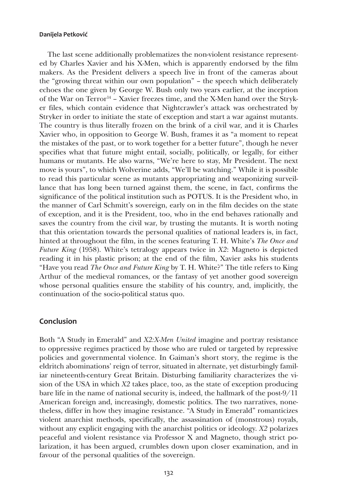The last scene additionally problematizes the non-violent resistance represented by Charles Xavier and his X-Men, which is apparently endorsed by the film makers. As the President delivers a speech live in front of the cameras about the "growing threat within our own population" – the speech which deliberately echoes the one given by George W. Bush only two years earlier, at the inception of the War on Terror<sup>14</sup> – Xavier freezes time, and the X-Men hand over the Stryker files, which contain evidence that Nightcrawler's attack was orchestrated by Stryker in order to initiate the state of exception and start a war against mutants. The country is thus literally frozen on the brink of a civil war, and it is Charles Xavier who, in opposition to George W. Bush, frames it as "a moment to repeat the mistakes of the past, or to work together for a better future", though he never specifies what that future might entail, socially, politically, or legally, for either humans or mutants. He also warns, "We're here to stay, Mr President. The next move is yours", to which Wolverine adds, "We'll be watching." While it is possible to read this particular scene as mutants appropriating and weaponizing surveillance that has long been turned against them, the scene, in fact, confirms the significance of the political institution such as POTUS. It is the President who, in the manner of Carl Schmitt's sovereign, early on in the film decides on the state of exception, and it is the President, too, who in the end behaves rationally and saves the country from the civil war, by trusting the mutants. It is worth noting that this orientation towards the personal qualities of national leaders is, in fact, hinted at throughout the film, in the scenes featuring T. H. White's *The Once and Future King* (1958). White's tetralogy appears twice in *X2*: Magneto is depicted reading it in his plastic prison; at the end of the film, Xavier asks his students "Have you read *The Once and Future King* by T. H. White?" The title refers to King Arthur of the medieval romances, or the fantasy of yet another good sovereign whose personal qualities ensure the stability of his country, and, implicitly, the continuation of the socio-political status quo.

### **Conclusion**

Both "A Study in Emerald" and *X2:X-Men United* imagine and portray resistance to oppressive regimes practiced by those who are ruled or targeted by repressive policies and governmental violence. In Gaiman's short story, the regime is the eldritch abominations' reign of terror, situated in alternate, yet disturbingly familiar nineteenth-century Great Britain. Disturbing familiarity characterizes the vision of the USA in which *X2* takes place, too, as the state of exception producing bare life in the name of national security is, indeed, the hallmark of the post-9/11 American foreign and, increasingly, domestic politics. The two narratives, nonetheless, differ in how they imagine resistance. "A Study in Emerald" romanticizes violent anarchist methods, specifically, the assassination of (monstrous) royals, without any explicit engaging with the anarchist politics or ideology. *X2* polarizes peaceful and violent resistance via Professor X and Magneto, though strict polarization, it has been argued, crumbles down upon closer examination, and in favour of the personal qualities of the sovereign.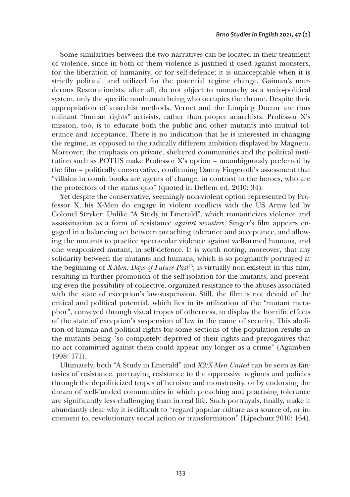Some similarities between the two narratives can be located in their treatment of violence, since in both of them violence is justified if used against monsters, for the liberation of humanity, or for self-defence; it is unacceptable when it is strictly political, and utilized for the potential regime change. Gaiman's murderous Restorationists, after all, do not object to monarchy as a socio-political system, only the specific nonhuman being who occupies the throne. Despite their appropriation of anarchist methods, Vernet and the Limping Doctor are thus militant "human rights" activists, rather than proper anarchists. Professor X's mission, too, is to educate both the public and other mutants into mutual tolerance and acceptance. There is no indication that he is interested in changing the regime, as opposed to the radically different ambition displayed by Magneto. Moreover, the emphasis on private, sheltered communities and the political institution such as POTUS make Professor X's option – unambiguously preferred by the film – politically conservative, confirming Danny Fingeroth's assessment that "villains in comic books are agents of change, in contrast to the heroes, who are the protectors of the status quo" (quoted in Deflem ed. 2010: 34).

Yet despite the conservative, seemingly non-violent option represented by Professor X, his X-Men do engage in violent conflicts with the US Army led by Colonel Stryker. Unlike "A Study in Emerald", which romanticizes violence and assassination as a form of resistance *against monsters*, Singer's film appears engaged in a balancing act between preaching tolerance and acceptance, and allowing the mutants to practice spectacular violence against well-armed humans, and one weaponized mutant, in self-defence. It is worth noting, moreover, that any solidarity between the mutants and humans, which is so poignantly portrayed at the beginning of *X-Men: Days of Future Past*15, is virtually non-existent in this film, resulting in further promotion of the self-isolation for the mutants, and preventing even the possibility of collective, organized resistance to the abuses associated with the state of exception's law-suspension. Still, the film is not devoid of the critical and political potential, which lies in its utilization of the "mutant metaphor", conveyed through visual tropes of otherness, to display the horrific effects of the state of exception's suspension of law in the name of security. This abolition of human and political rights for some sections of the population results in the mutants being "so completely deprived of their rights and prerogatives that no act committed against them could appear any longer as a crime" (Agamben 1998: 171).

Ultimately, both "A Study in Emerald" and *X2:X-Men United* can be seen as fantasies of resistance, portraying resistance to the oppressive regimes and policies through the depoliticized tropes of heroism and monstrosity, or by endorsing the dream of well-funded communities in which preaching and practising tolerance are significantly less challenging than in real life. Such portrayals, finally, make it abundantly clear why it is difficult to "regard popular culture as a source of, or incitement to, revolutionary social action or transformation" (Lipschutz 2010: 164).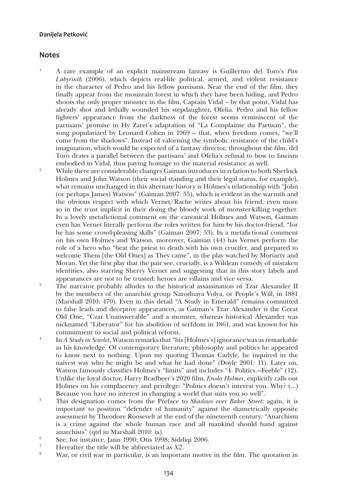### **Notes**

- 1 A rare example of an explicit mainstream fantasy is Guillermo del Toro's *Pan Labyrinth* (2006), which depicts real-life political, armed, and violent resistance in the character of Pedro and his fellow partisans. Near the end of the film, they finally appear from the mountain forest in which they have been hiding, and Pedro shoots the only proper monster in the film, Captain Vidal – by that point, Vidal has already shot and lethally wounded his stepdaughter, Ofelia. Pedro and his fellow fighters' appearance from the darkness of the forest seems reminiscent of the partisans' promise in Hy Zaret's adaptation of "La Complainte du Partisan", the song popularized by Leonard Cohen in 1969 – that, when freedom comes, "we'll come from the shadows". Instead of valorising the symbolic resistance of the child's imagination, which would be expected of a fantasy director, throughout the film, del Toro draws a parallel between the partisans' and Ofelia's refusal to bow to fascism embodied in Vidal, thus paying homage to the material resistance as well.
- <sup>2</sup> While there are considerable changes Gaiman introduces in relation to both Sherlock Holmes and John Watson (their social standing and their legal status, for example), what remains unchanged in this alternate history is Holmes's relationship with "John (or perhaps James) Watson" (Gaiman 2007: 55), which is evident in the warmth and the obvious respect with which Vernet/Rache writes about his friend, even more so in the trust implicit in their doing the bloody work of monster-killing together. In a lovely metafictional comment on the canonical Holmes and Watson, Gaiman even has Vernet literally perform the roles written for him by his doctor-friend, "for he has some crowd-pleasing skills" (Gaiman 2007: 53). In a metafictional comment on his own Holmes and Watson, moreover, Gaiman (44) has Vernet perform the role of a hero who "beat the priest to death with his own crucifer, and prepared to welcome Them [the Old Ones] as They came", in the play watched by Moriarty and Moran. Yet the first play that the pair see, crucially, is a Wildean comedy of mistaken identities, also starring Sherry Vernet and suggesting that in this story labels and appearances are not to be trusted: heroes are villains and vice versa.
- <sup>3</sup> The narrator probably alludes to the historical assassination of Tzar Alexander II by the members of the anarchist group Narodnaya Volya, or People's Will, in 1881 (Marshall 2010: 470). Even in this detail "A Study in Emerald" remains committed to false leads and deceptive appearances, as Gaiman's Tzar Alexander is the Great Old One, "Czar Unanswerable" and a monster, whereas historical Alexander was nicknamed "Liberator" for his abolition of serfdom in 1861, and was known for his
- commitment to social and political reform. 4 In *<sup>A</sup> Study in Scarlet*, Watson remarks that "his [Holmes's] ignorance was as remarkable as his knowledge. Of contemporary literature, philosophy and politics he appeared to know next to nothing. Upon my quoting Thomas Carlyle, he inquired in the naivest way who he might be and what he had done" (Doyle 2001: 11). Later on, Watson famously classifies Holmes's "limits" and includes "4. Politics.—Feeble" (12). Unlike the loyal doctor, Harry Bradbeer's 2020 film, *Enola Holmes*, explicitly calls out Holmes on his complacency and privilege: "Politics doesn't interest you. Why? (…) Because you have no interest in changing a world that suits you so well".
- <sup>5</sup> This designation comes from the Preface to *Shadows over Baker Street*: again, it is important to position "defender of humanity" against the diametrically opposite assessment by Theodore Roosevelt at the end of the nineteenth century: "Anarchism is a crime against the whole human race and all mankind should band against anarchists" (qtd in Marshall 2010: ix).
- <sup>6</sup> See, for instance, Jann 1990; Otis 1998; Siddiqi 2006.
- <sup>7</sup> Hereafter the title will be abbreviated as  $X2$ .
- War, or civil war in particular, is an important motive in the film. The quotation in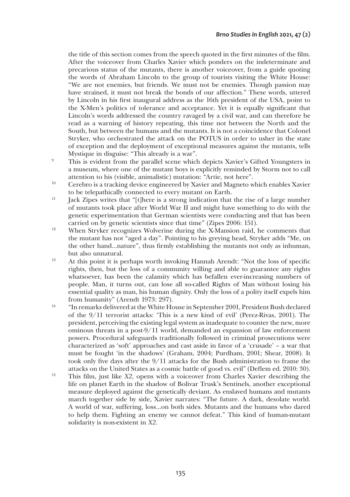the title of this section comes from the speech quoted in the first minutes of the film. After the voiceover from Charles Xavier which ponders on the indeterminate and precarious status of the mutants, there is another voiceover, from a guide quoting the words of Abraham Lincoln to the group of tourists visiting the White House: "We are not enemies, but friends. We must not be enemies. Though passion may have strained, it must not break the bonds of our affection." These words, uttered by Lincoln in his first inaugural address as the 16th president of the USA, point to the X-Men's politics of tolerance and acceptance. Yet it is equally significant that Lincoln's words addressed the country ravaged by a civil war, and can therefore be read as a warning of history repeating, this time not between the North and the South, but between the humans and the mutants. It is not a coincidence that Colonel Stryker, who orchestrated the attack on the POTUS in order to usher in the state of exception and the deployment of exceptional measures against the mutants, tells

- Mystique in disguise: "This already is a war".<br>
<sup>9</sup> This is evident from the parallel scene which depicts Xavier's Gifted Youngsters in a museum, where one of the mutant boys is explicitly reminded by Storm not to call attention to his (visible, animalistic) mutation: "Artie, not here".
- <sup>10</sup> Cerebro is a tracking device engineered by Xavier and Magneto which enables Xavier to be telepathically connected to every mutant on Earth.
- $11$  Jack Zipes writes that "[t]here is a strong indication that the rise of a large number of mutants took place after World War II and might have something to do with the genetic experimentation that German scientists were conducting and that has been carried on by genetic scientists since that time" (Zipes 2006: 151).
- <sup>12</sup> When Stryker recognizes Wolverine during the X-Mansion raid, he comments that the mutant has not "aged a day". Pointing to his greying head, Stryker adds "Me, on the other hand…nature", thus firmly establishing the mutants not only as inhuman, but also unnatural.
- <sup>13</sup> At this point it is perhaps worth invoking Hannah Arendt: "Not the loss of specific rights, then, but the loss of a community willing and able to guarantee any rights whatsoever, has been the calamity which has befallen ever-increasing numbers of people. Man, it turns out, can lose all so-called Rights of Man without losing his essential quality as man, his human dignity. Only the loss of a polity itself expels him from humanity" (Arendt 1973: 297).<br><sup>14</sup> Thermarks delivered at the White House in September 2001, President Bush declared
- of the 9/11 terrorist attacks: 'This is a new kind of evil' (Perez-Rivas, 2001). The president, perceiving the existing legal system as inadequate to counter the new, more ominous threats in a post-9/11 world, demanded an expansion of law enforcement powers. Procedural safeguards traditionally followed in criminal prosecutions were characterized as 'soft' approaches and cast aside in favor of a 'crusade' – a war that must be fought 'in the shadows' (Graham, 2004; Purdham, 2001; Shear, 2008). It took only five days after the 9/11 attacks for the Bush administration to frame the attacks on the United States as a cosmic battle of good vs. evil" (Deflem ed. 2010: 30).
- <sup>15</sup> This film, just like *X2*, opens with a voiceover from Charles Xavier describing the life on planet Earth in the shadow of Bolivar Trusk's Sentinels, another exceptional measure deployed against the genetically deviant. As enslaved humans and mutants march together side by side, Xavier narrates: "The future. A dark, desolate world. A world of war, suffering, loss…on both sides. Mutants and the humans who dared to help them. Fighting an enemy we cannot defeat." This kind of human-mutant solidarity is non-existent in *X2*.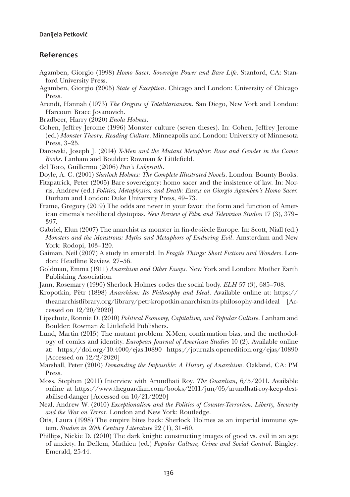### **References**

- Agamben, Giorgio (1998) *Homo Sacer: Sovereign Power and Bare Life*. Stanford, CA: Stanford University Press.
- Agamben, Giorgio (2005) *State of Exception*. Chicago and London: University of Chicago Press.
- Arendt, Hannah (1973) *The Origins of Totalitarianism*. San Diego, New York and London: Harcourt Brace Jovanovich.
- Bradbeer, Harry (2020) *Enola Holmes*.
- Cohen, Jeffrey Jerome (1996) Monster culture (seven theses). In: Cohen, Jeffrey Jerome (ed.) *Monster Theory: Reading Culture*. Minneapolis and London: University of Minnesota Press, 3–25.
- Darowski, Joseph J. (2014) *X-Men and the Mutant Metaphor: Race and Gender in the Comic Books*. Lanham and Boulder: Rowman & Littlefield.
- del Toro, Guillermo (2006) *Pan's Labyrinth*.
- Doyle, A. C. (2001) *Sherlock Holmes: The Complete Illustrated Novels*. London: Bounty Books.
- Fitzpatrick, Peter (2005) Bare sovereignty: homo sacer and the insistence of law. In: Norris, Andrew (ed.) *Politics, Metaphysics, and Death: Essays on Giorgio Agamben's Homo Sacer.*  Durham and London: Duke University Press, 49–73.
- Frame, Gregory (2019) The odds are never in your favor: the form and function of American cinema's neoliberal dystopias. *New Review of Film and Television Studies* 17 (3), 379– 397.
- Gabriel, Elun (2007) The anarchist as monster in fin-de-siècle Europe. In: Scott, Niall (ed.) *Monsters and the Monstrous: Myths and Metaphors of Enduring Evil*. Amsterdam and New York: Rodopi, 103–120.
- Gaiman, Neil (2007) A study in emerald. In *Fragile Things: Short Fictions and Wonders*. London: Headline Review, 27–56.
- Goldman, Emma (1911) *Anarchism and Other Essays*. New York and London: Mother Earth Publishing Association.
- Jann, Rosemary (1990) Sherlock Holmes codes the social body. *ELH* 57 (3), 685–708.
- Kropotkin, Pëtr (1898) *Anarchism: Its Philosophy and Ideal*. Available online at: [https://](https://theanarchistlibrary.org/library/petr-kropotkin-anarchism-its-philosophy-and-ideal) [theanarchistlibrary.org/library/petr-kropotkin-anarchism-its-philosophy-and-ideal](https://theanarchistlibrary.org/library/petr-kropotkin-anarchism-its-philosophy-and-ideal) [Accessed on 12/20/2020]
- Lipschutz, Ronnie D. (2010) *Political Economy, Capitalism, and Popular Culture*. Lanham and Boulder: Rowman & Littlefield Publishers.
- Lund, Martin (2015) The mutant problem: X-Men, confirmation bias, and the methodology of comics and identity. *European Journal of American Studies* 10 (2). Available online at: <https://doi.org/10.4000/ejas.10890> <https://journals.openedition.org/ejas/10890> [Accessed on 12/2/2020]
- Marshall, Peter (2010) *Demanding the Impossible: A History of Anarchism*. Oakland, CA: PM Press.
- Moss, Stephen (2011) Interview with Arundhati Roy. *The Guardian*, 6/5/2011. Available online at [https://www.theguardian.com/books/2011/jun/05/arundhati-roy-keep-dest](https://www.theguardian.com/books/2011/jun/05/arundhati-roy-keep-destabilised-danger)[abilised-danger](https://www.theguardian.com/books/2011/jun/05/arundhati-roy-keep-destabilised-danger) [Accessed on 10/21/2020]
- Neal, Andrew W. (2010) *Exceptionalism and the Politics of Counter-Terrorism: Liberty, Security and the War on Terror*. London and New York: Routledge.
- Otis, Laura (1998) The empire bites back: Sherlock Holmes as an imperial immune system. *Studies in 20th Century Literature* 22 (1), 31–60.
- Phillips, Nickie D. (2010) The dark knight: constructing images of good vs. evil in an age of anxiety. In Deflem, Mathieu (ed.) *Popular Culture, Crime and Social Control*. Bingley: Emerald, 25-44.